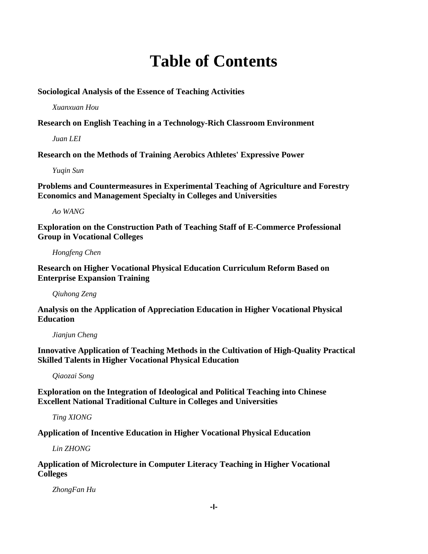## **Table of Contents**

**Sociological Analysis of the Essence of Teaching Activities**

*Xuanxuan Hou*

**Research on English Teaching in a Technology-Rich Classroom Environment**

*Juan LEI*

**Research on the Methods of Training Aerobics Athletes' Expressive Power**

*Yuqin Sun*

**Problems and Countermeasures in Experimental Teaching of Agriculture and Forestry Economics and Management Specialty in Colleges and Universities**

*Ao WANG*

**Exploration on the Construction Path of Teaching Staff of E-Commerce Professional Group in Vocational Colleges**

*Hongfeng Chen*

**Research on Higher Vocational Physical Education Curriculum Reform Based on Enterprise Expansion Training**

*Qiuhong Zeng*

**Analysis on the Application of Appreciation Education in Higher Vocational Physical Education**

*Jianjun Cheng*

**Innovative Application of Teaching Methods in the Cultivation of High-Quality Practical Skilled Talents in Higher Vocational Physical Education**

*Qiaozai Song*

**Exploration on the Integration of Ideological and Political Teaching into Chinese Excellent National Traditional Culture in Colleges and Universities**

*Ting XIONG*

**Application of Incentive Education in Higher Vocational Physical Education**

*Lin ZHONG*

**Application of Microlecture in Computer Literacy Teaching in Higher Vocational Colleges**

*ZhongFan Hu*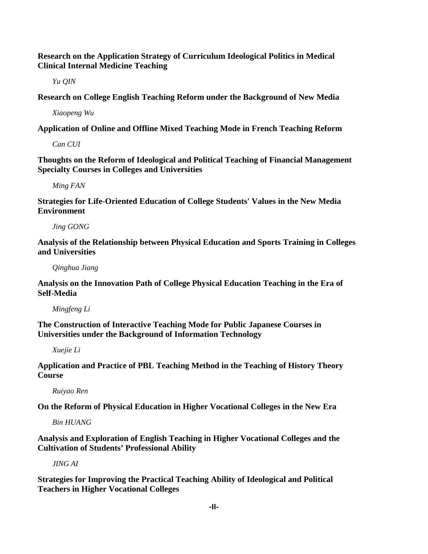**Research on the Application Strategy of Curriculum Ideological Politics in Medical Clinical Internal Medicine Teaching**

*Yu QIN*

**Research on College English Teaching Reform under the Background of New Media**

*Xiaopeng Wu*

**Application of Online and Offline Mixed Teaching Mode in French Teaching Reform**

*Can CUI*

**Thoughts on the Reform of Ideological and Political Teaching of Financial Management Specialty Courses in Colleges and Universities**

*Ming FAN*

**Strategies for Life-Oriented Education of College Students' Values in the New Media Environment**

*Jing GONG*

**Analysis of the Relationship between Physical Education and Sports Training in Colleges and Universities**

*Qinghua Jiang*

**Analysis on the Innovation Path of College Physical Education Teaching in the Era of Self-Media**

*Mingfeng Li*

**The Construction of Interactive Teaching Mode for Public Japanese Courses in Universities under the Background of Information Technology**

*Xuejie Li*

**Application and Practice of PBL Teaching Method in the Teaching of History Theory Course**

*Ruiyao Ren*

**On the Reform of Physical Education in Higher Vocational Colleges in the New Era**

*Bin HUANG*

**Analysis and Exploration of English Teaching in Higher Vocational Colleges and the Cultivation of Students' Professional Ability**

*JING AI*

**Strategies for Improving the Practical Teaching Ability of Ideological and Political Teachers in Higher Vocational Colleges**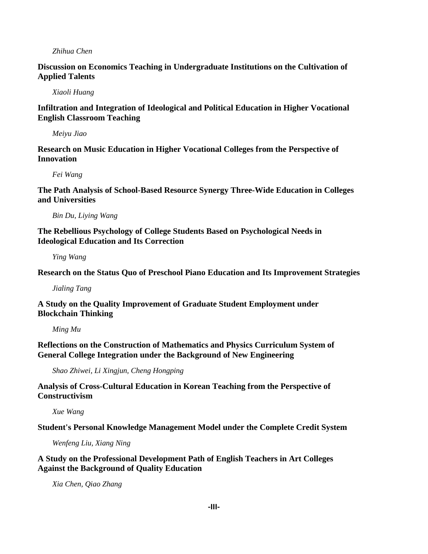## *Zhihua Chen*

**Discussion on Economics Teaching in Undergraduate Institutions on the Cultivation of Applied Talents**

*Xiaoli Huang*

**Infiltration and Integration of Ideological and Political Education in Higher Vocational English Classroom Teaching**

*Meiyu Jiao*

**Research on Music Education in Higher Vocational Colleges from the Perspective of Innovation**

*Fei Wang*

**The Path Analysis of School-Based Resource Synergy Three-Wide Education in Colleges and Universities**

*Bin Du, Liying Wang*

**The Rebellious Psychology of College Students Based on Psychological Needs in Ideological Education and Its Correction**

*Ying Wang*

**Research on the Status Quo of Preschool Piano Education and Its Improvement Strategies**

*Jialing Tang*

**A Study on the Quality Improvement of Graduate Student Employment under Blockchain Thinking**

*Ming Mu*

**Reflections on the Construction of Mathematics and Physics Curriculum System of General College Integration under the Background of New Engineering**

*Shao Zhiwei, Li Xingjun, Cheng Hongping*

**Analysis of Cross-Cultural Education in Korean Teaching from the Perspective of Constructivism**

*Xue Wang*

**Student's Personal Knowledge Management Model under the Complete Credit System**

*Wenfeng Liu, Xiang Ning*

**A Study on the Professional Development Path of English Teachers in Art Colleges Against the Background of Quality Education**

*Xia Chen, Qiao Zhang*